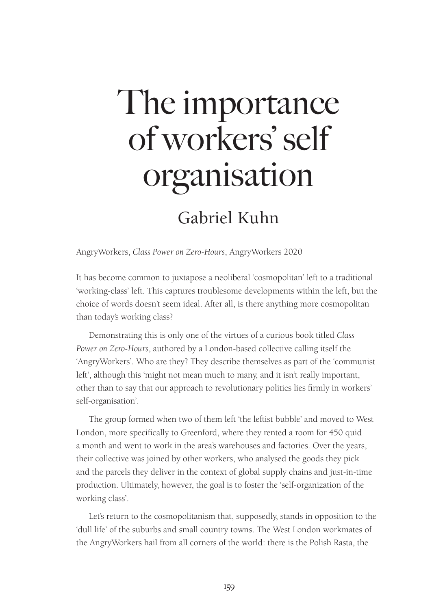# The importance of workers' self organisation

## Gabriel Kuhn

AngryWorkers, *Class Power on Zero-Hours*, AngryWorkers 2020

It has become common to juxtapose a neoliberal 'cosmopolitan' left to a traditional 'working-class' left. This captures troublesome developments within the left, but the choice of words doesn't seem ideal. After all, is there anything more cosmopolitan than today's working class?

Demonstrating this is only one of the virtues of a curious book titled *Class Power on Zero-Hours*, authored by a London-based collective calling itself the 'AngryWorkers'. Who are they? They describe themselves as part of the 'communist left', although this 'might not mean much to many, and it isn't really important, other than to say that our approach to revolutionary politics lies firmly in workers' self-organisation'.

The group formed when two of them left 'the leftist bubble' and moved to West London, more specifically to Greenford, where they rented a room for 450 quid a month and went to work in the area's warehouses and factories. Over the years, their collective was joined by other workers, who analysed the goods they pick and the parcels they deliver in the context of global supply chains and just-in-time production. Ultimately, however, the goal is to foster the 'self-organization of the working class'.

Let's return to the cosmopolitanism that, supposedly, stands in opposition to the 'dull life' of the suburbs and small country towns. The West London workmates of the AngryWorkers hail from all corners of the world: there is the Polish Rasta, the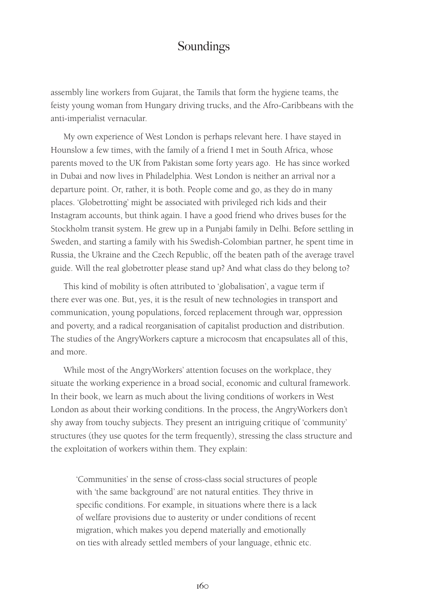#### Soundings

assembly line workers from Gujarat, the Tamils that form the hygiene teams, the feisty young woman from Hungary driving trucks, and the Afro-Caribbeans with the anti-imperialist vernacular.

My own experience of West London is perhaps relevant here. I have stayed in Hounslow a few times, with the family of a friend I met in South Africa, whose parents moved to the UK from Pakistan some forty years ago. He has since worked in Dubai and now lives in Philadelphia. West London is neither an arrival nor a departure point. Or, rather, it is both. People come and go, as they do in many places. 'Globetrotting' might be associated with privileged rich kids and their Instagram accounts, but think again. I have a good friend who drives buses for the Stockholm transit system. He grew up in a Punjabi family in Delhi. Before settling in Sweden, and starting a family with his Swedish-Colombian partner, he spent time in Russia, the Ukraine and the Czech Republic, off the beaten path of the average travel guide. Will the real globetrotter please stand up? And what class do they belong to?

This kind of mobility is often attributed to 'globalisation', a vague term if there ever was one. But, yes, it is the result of new technologies in transport and communication, young populations, forced replacement through war, oppression and poverty, and a radical reorganisation of capitalist production and distribution. The studies of the AngryWorkers capture a microcosm that encapsulates all of this, and more.

While most of the AngryWorkers' attention focuses on the workplace, they situate the working experience in a broad social, economic and cultural framework. In their book, we learn as much about the living conditions of workers in West London as about their working conditions. In the process, the AngryWorkers don't shy away from touchy subjects. They present an intriguing critique of 'community' structures (they use quotes for the term frequently), stressing the class structure and the exploitation of workers within them. They explain:

'Communities' in the sense of cross-class social structures of people with 'the same background' are not natural entities. They thrive in specific conditions. For example, in situations where there is a lack of welfare provisions due to austerity or under conditions of recent migration, which makes you depend materially and emotionally on ties with already settled members of your language, ethnic etc.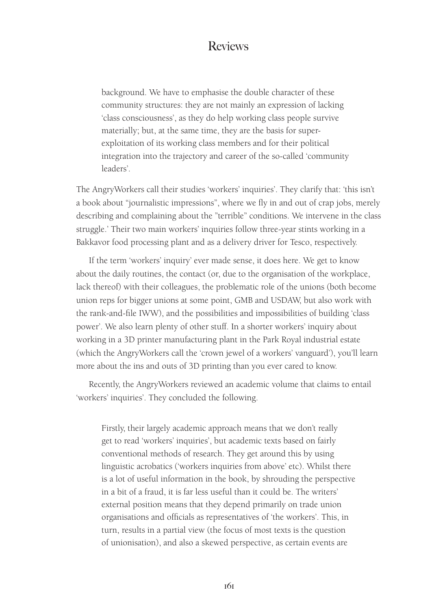#### Reviews

background. We have to emphasise the double character of these community structures: they are not mainly an expression of lacking 'class consciousness', as they do help working class people survive materially; but, at the same time, they are the basis for superexploitation of its working class members and for their political integration into the trajectory and career of the so-called 'community leaders'.

The AngryWorkers call their studies 'workers' inquiries'. They clarify that: 'this isn't a book about "journalistic impressions", where we fly in and out of crap jobs, merely describing and complaining about the "terrible" conditions. We intervene in the class struggle.' Their two main workers' inquiries follow three-year stints working in a Bakkavor food processing plant and as a delivery driver for Tesco, respectively.

If the term 'workers' inquiry' ever made sense, it does here. We get to know about the daily routines, the contact (or, due to the organisation of the workplace, lack thereof) with their colleagues, the problematic role of the unions (both become union reps for bigger unions at some point, GMB and USDAW, but also work with the rank-and-file IWW), and the possibilities and impossibilities of building 'class power'. We also learn plenty of other stuff. In a shorter workers' inquiry about working in a 3D printer manufacturing plant in the Park Royal industrial estate (which the AngryWorkers call the 'crown jewel of a workers' vanguard'), you'll learn more about the ins and outs of 3D printing than you ever cared to know.

Recently, the AngryWorkers reviewed an academic volume that claims to entail 'workers' inquiries'. They concluded the following.

Firstly, their largely academic approach means that we don't really get to read 'workers' inquiries', but academic texts based on fairly conventional methods of research. They get around this by using linguistic acrobatics ('workers inquiries from above' etc). Whilst there is a lot of useful information in the book, by shrouding the perspective in a bit of a fraud, it is far less useful than it could be. The writers' external position means that they depend primarily on trade union organisations and officials as representatives of 'the workers'. This, in turn, results in a partial view (the focus of most texts is the question of unionisation), and also a skewed perspective, as certain events are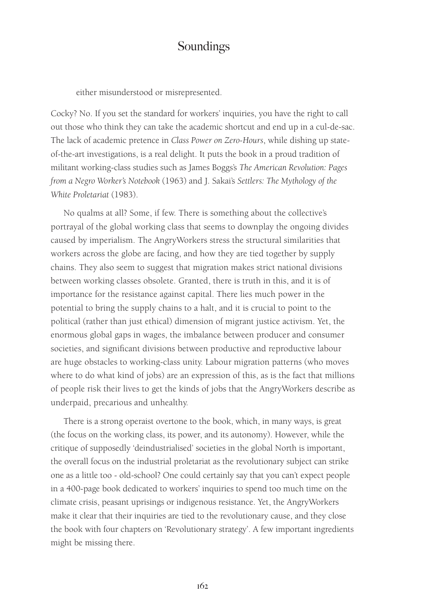#### Soundings

either misunderstood or misrepresented.

Cocky? No. If you set the standard for workers' inquiries, you have the right to call out those who think they can take the academic shortcut and end up in a cul-de-sac. The lack of academic pretence in *Class Power on Zero-Hours*, while dishing up stateof-the-art investigations, is a real delight. It puts the book in a proud tradition of militant working-class studies such as James Boggs's *The American Revolution: Pages from a Negro Worker's Notebook* (1963) and J. Sakai's *Settlers: The Mythology of the White Proletariat* (1983).

No qualms at all? Some, if few. There is something about the collective's portrayal of the global working class that seems to downplay the ongoing divides caused by imperialism. The AngryWorkers stress the structural similarities that workers across the globe are facing, and how they are tied together by supply chains. They also seem to suggest that migration makes strict national divisions between working classes obsolete. Granted, there is truth in this, and it is of importance for the resistance against capital. There lies much power in the potential to bring the supply chains to a halt, and it is crucial to point to the political (rather than just ethical) dimension of migrant justice activism. Yet, the enormous global gaps in wages, the imbalance between producer and consumer societies, and significant divisions between productive and reproductive labour are huge obstacles to working-class unity. Labour migration patterns (who moves where to do what kind of jobs) are an expression of this, as is the fact that millions of people risk their lives to get the kinds of jobs that the AngryWorkers describe as underpaid, precarious and unhealthy.

There is a strong operaist overtone to the book, which, in many ways, is great (the focus on the working class, its power, and its autonomy). However, while the critique of supposedly 'deindustrialised' societies in the global North is important, the overall focus on the industrial proletariat as the revolutionary subject can strike one as a little too - old-school? One could certainly say that you can't expect people in a 400-page book dedicated to workers' inquiries to spend too much time on the climate crisis, peasant uprisings or indigenous resistance. Yet, the AngryWorkers make it clear that their inquiries are tied to the revolutionary cause, and they close the book with four chapters on 'Revolutionary strategy'. A few important ingredients might be missing there.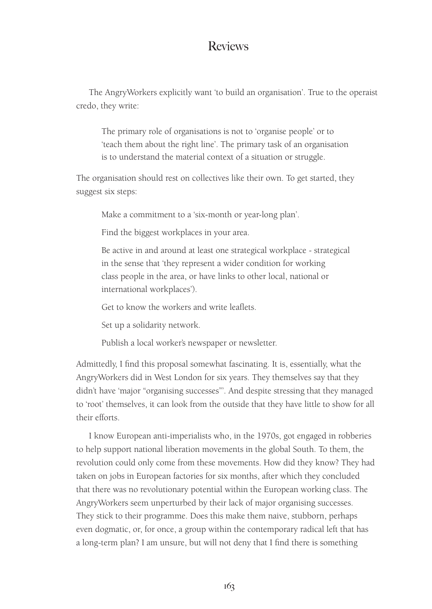#### Reviews

The AngryWorkers explicitly want 'to build an organisation'. True to the operaist credo, they write:

The primary role of organisations is not to 'organise people' or to 'teach them about the right line'. The primary task of an organisation is to understand the material context of a situation or struggle.

The organisation should rest on collectives like their own. To get started, they suggest six steps:

Make a commitment to a 'six-month or year-long plan'.

Find the biggest workplaces in your area.

Be active in and around at least one strategical workplace - strategical in the sense that 'they represent a wider condition for working class people in the area, or have links to other local, national or international workplaces').

Get to know the workers and write leaflets.

Set up a solidarity network.

Publish a local worker's newspaper or newsletter.

Admittedly, I find this proposal somewhat fascinating. It is, essentially, what the AngryWorkers did in West London for six years. They themselves say that they didn't have 'major "organising successes"'. And despite stressing that they managed to 'root' themselves, it can look from the outside that they have little to show for all their efforts.

I know European anti-imperialists who, in the 1970s, got engaged in robberies to help support national liberation movements in the global South. To them, the revolution could only come from these movements. How did they know? They had taken on jobs in European factories for six months, after which they concluded that there was no revolutionary potential within the European working class. The AngryWorkers seem unperturbed by their lack of major organising successes. They stick to their programme. Does this make them naive, stubborn, perhaps even dogmatic, or, for once, a group within the contemporary radical left that has a long-term plan? I am unsure, but will not deny that I find there is something